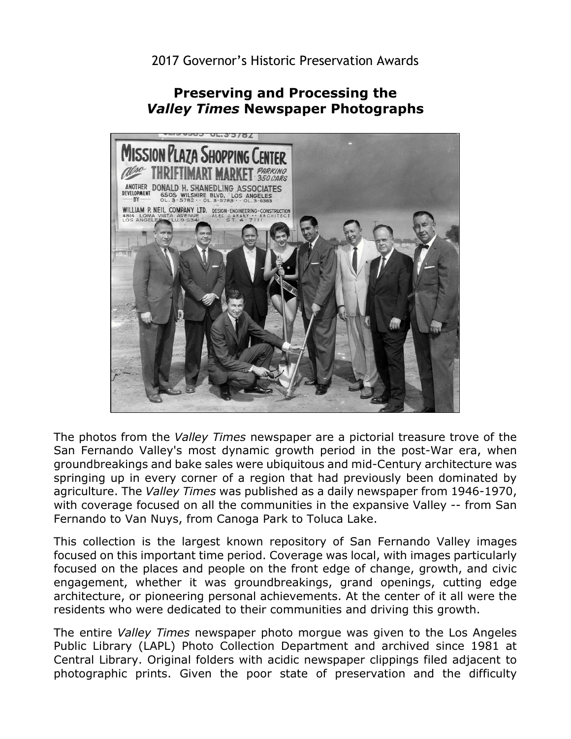## **Preserving and Processing the**  *Valley Times* **Newspaper Photographs**



 The photos from the *Valley Times* newspaper are a pictorial treasure trove of the Fernando to Van Nuys, from Canoga Park to Toluca Lake. San Fernando Valley's most dynamic growth period in the post-War era, when groundbreakings and bake sales were ubiquitous and mid-Century architecture was springing up in every corner of a region that had previously been dominated by agriculture. The *Valley Times* was published as a daily newspaper from 1946-1970, with coverage focused on all the communities in the expansive Valley -- from San

 focused on the places and people on the front edge of change, growth, and civic architecture, or pioneering personal achievements. At the center of it all were the This collection is the largest known repository of San Fernando Valley images focused on this important time period. Coverage was local, with images particularly engagement, whether it was groundbreakings, grand openings, cutting edge residents who were dedicated to their communities and driving this growth.

 The entire *Valley Times* newspaper photo morgue was given to the Los Angeles Public Library (LAPL) Photo Collection Department and archived since 1981 at Central Library. Original folders with acidic newspaper clippings filed adjacent to photographic prints. Given the poor state of preservation and the difficulty